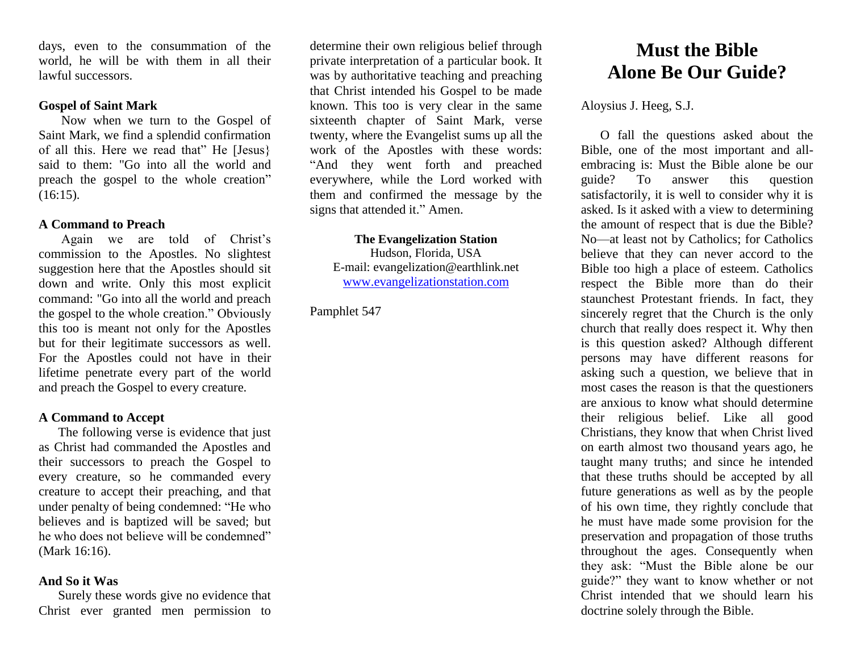days, even to the consummation of the world, he will be with them in all their lawful successors.

# **Gospel of Saint Mark**

Now when we turn to the Gospel of Saint Mark, we find a splendid confirmation of all this. Here we read that" He [Jesus} said to them: "Go into all the world and preach the gospel to the whole creation"  $(16:15)$ .

## **A Command to Preach**

Again we are told of Christ's commission to the Apostles. No slightest suggestion here that the Apostles should sit down and write. Only this most explicit command: "Go into all the world and preach the gospel to the whole creation." Obviously this too is meant not only for the Apostles but for their legitimate successors as well. For the Apostles could not have in their lifetime penetrate every part of the world and preach the Gospel to every creature.

# **A Command to Accept**

The following verse is evidence that just as Christ had commanded the Apostles and their successors to preach the Gospel to every creature, so he commanded every creature to accept their preaching, and that under penalty of being condemned: "He who believes and is baptized will be saved; but he who does not believe will be condemned" (Mark 16:16).

#### **And So it Was**

Surely these words give no evidence that Christ ever granted men permission to

determine their own religious belief through private interpretation of a particular book. It was by authoritative teaching and preaching that Christ intended his Gospel to be made known. This too is very clear in the same sixteenth chapter of Saint Mark, verse twenty, where the Evangelist sums up all the work of the Apostles with these words: "And they went forth and preached everywhere, while the Lord worked with them and confirmed the message by the signs that attended it." Amen.

#### **The Evangelization Station** Hudson, Florida, USA

E-mail: evangelization@earthlink.net [www.evangelizationstation.com](http://www.pjpiisoe.org/)

Pamphlet 547

# **Must the Bible Alone Be Our Guide?**

Aloysius J. Heeg, S.J.

O fall the questions asked about the Bible, one of the most important and allembracing is: Must the Bible alone be our guide? To answer this question satisfactorily, it is well to consider why it is asked. Is it asked with a view to determining the amount of respect that is due the Bible? No—at least not by Catholics; for Catholics believe that they can never accord to the Bible too high a place of esteem. Catholics respect the Bible more than do their staunchest Protestant friends. In fact, they sincerely regret that the Church is the only church that really does respect it. Why then is this question asked? Although different persons may have different reasons for asking such a question, we believe that in most cases the reason is that the questioners are anxious to know what should determine their religious belief. Like all good Christians, they know that when Christ lived on earth almost two thousand years ago, he taught many truths; and since he intended that these truths should be accepted by all future generations as well as by the people of his own time, they rightly conclude that he must have made some provision for the preservation and propagation of those truths throughout the ages. Consequently when they ask: "Must the Bible alone be our guide?" they want to know whether or not Christ intended that we should learn his doctrine solely through the Bible.